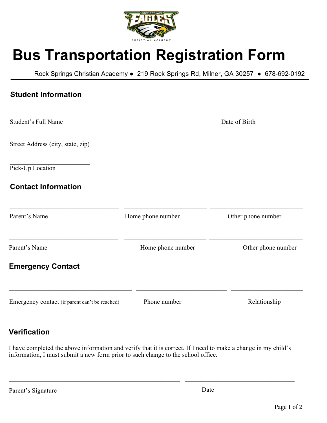

# **Bus Transportation Registration Form**

Rock Springs Christian Academy • 219 Rock Springs Rd, Milner, GA 30257 • 678-692-0192

| <b>Student Information</b>                     |                   |                    |
|------------------------------------------------|-------------------|--------------------|
| Student's Full Name                            |                   | Date of Birth      |
| Street Address (city, state, zip)              |                   |                    |
| Pick-Up Location                               |                   |                    |
| <b>Contact Information</b>                     |                   |                    |
| Parent's Name                                  | Home phone number | Other phone number |
| Parent's Name                                  | Home phone number | Other phone number |
| <b>Emergency Contact</b>                       |                   |                    |
| Emergency contact (if parent can't be reached) | Phone number      | Relationship       |

## **Verification**

I have completed the above information and verify that it is correct. If I need to make a change in my child's information, I must submit a new form prior to such change to the school office.